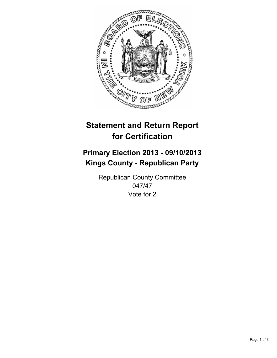

# **Statement and Return Report for Certification**

# **Primary Election 2013 - 09/10/2013 Kings County - Republican Party**

Republican County Committee 047/47 Vote for 2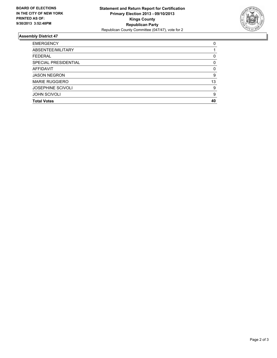

## **Assembly District 47**

| 0  |
|----|
|    |
| 0  |
| 0  |
| 0  |
| 9  |
| 13 |
| 9  |
| 9  |
| 40 |
|    |